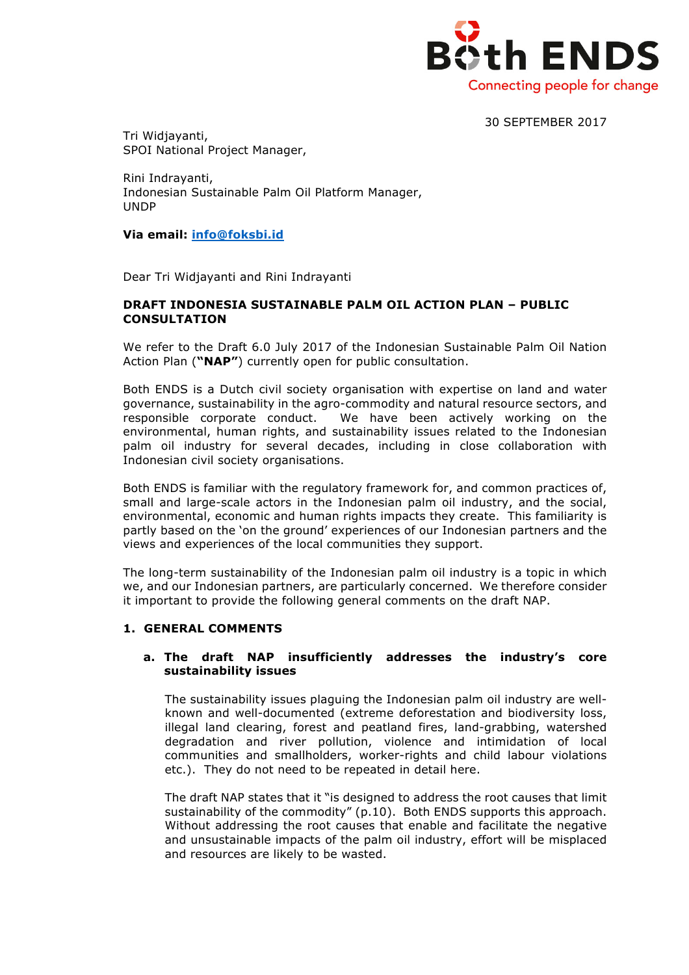

30 SEPTEMBER 2017

Tri Widjayanti, SPOI National Project Manager,

Rini Indrayanti, Indonesian Sustainable Palm Oil Platform Manager, UNDP

**Via email: info@foksbi.id**

Dear Tri Widjayanti and Rini Indrayanti

#### **DRAFT INDONESIA SUSTAINABLE PALM OIL ACTION PLAN – PUBLIC CONSULTATION**

We refer to the Draft 6.0 July 2017 of the Indonesian Sustainable Palm Oil Nation Action Plan (**"NAP"**) currently open for public consultation.

Both ENDS is a Dutch civil society organisation with expertise on land and water governance, sustainability in the agro-commodity and natural resource sectors, and responsible corporate conduct. We have been actively working on the environmental, human rights, and sustainability issues related to the Indonesian palm oil industry for several decades, including in close collaboration with Indonesian civil society organisations.

Both ENDS is familiar with the regulatory framework for, and common practices of, small and large-scale actors in the Indonesian palm oil industry, and the social, environmental, economic and human rights impacts they create. This familiarity is partly based on the 'on the ground' experiences of our Indonesian partners and the views and experiences of the local communities they support.

The long-term sustainability of the Indonesian palm oil industry is a topic in which we, and our Indonesian partners, are particularly concerned. We therefore consider it important to provide the following general comments on the draft NAP.

# **1. GENERAL COMMENTS**

## **a. The draft NAP insufficiently addresses the industry's core sustainability issues**

The sustainability issues plaguing the Indonesian palm oil industry are wellknown and well-documented (extreme deforestation and biodiversity loss, illegal land clearing, forest and peatland fires, land-grabbing, watershed degradation and river pollution, violence and intimidation of local communities and smallholders, worker-rights and child labour violations etc.). They do not need to be repeated in detail here.

The draft NAP states that it "is designed to address the root causes that limit sustainability of the commodity" (p.10). Both ENDS supports this approach. Without addressing the root causes that enable and facilitate the negative and unsustainable impacts of the palm oil industry, effort will be misplaced and resources are likely to be wasted.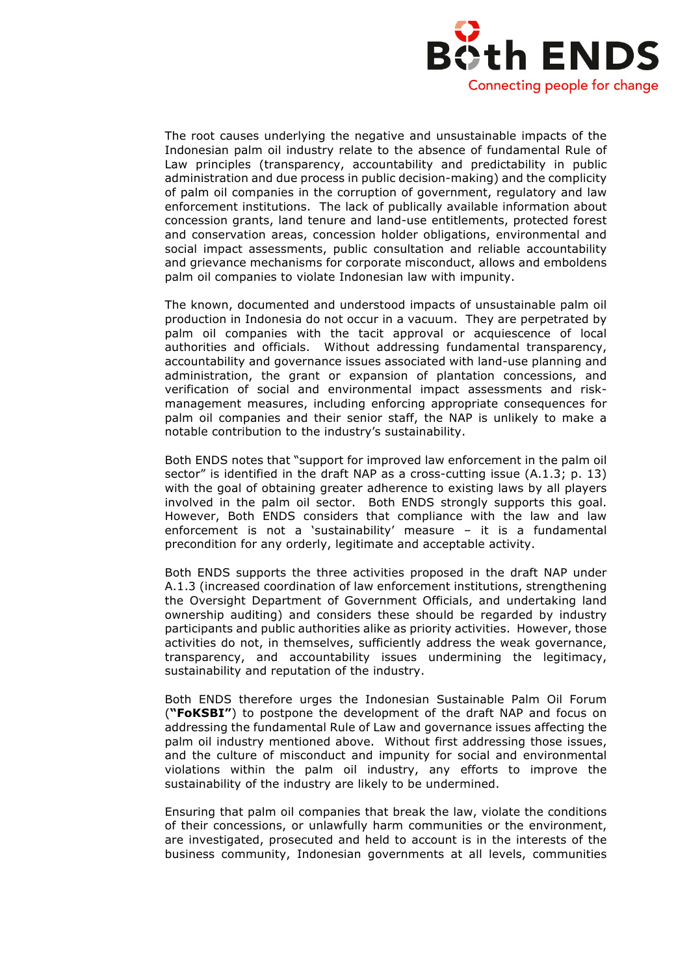

The root causes underlying the negative and unsustainable impacts of the Indonesian palm oil industry relate to the absence of fundamental Rule of Law principles (transparency, accountability and predictability in public administration and due process in public decision-making) and the complicity of palm oil companies in the corruption of government, regulatory and law enforcement institutions. The lack of publically available information about concession grants, land tenure and land-use entitlements, protected forest and conservation areas, concession holder obligations, environmental and social impact assessments, public consultation and reliable accountability and grievance mechanisms for corporate misconduct, allows and emboldens palm oil companies to violate Indonesian law with impunity.

The known, documented and understood impacts of unsustainable palm oil production in Indonesia do not occur in a vacuum. They are perpetrated by palm oil companies with the tacit approval or acquiescence of local authorities and officials. Without addressing fundamental transparency, accountability and governance issues associated with land-use planning and administration, the grant or expansion of plantation concessions, and verification of social and environmental impact assessments and riskmanagement measures, including enforcing appropriate consequences for palm oil companies and their senior staff, the NAP is unlikely to make a notable contribution to the industry's sustainability.

Both ENDS notes that "support for improved law enforcement in the palm oil sector" is identified in the draft NAP as a cross-cutting issue (A.1.3; p. 13) with the goal of obtaining greater adherence to existing laws by all players involved in the palm oil sector. Both ENDS strongly supports this goal. However, Both ENDS considers that compliance with the law and law enforcement is not a 'sustainability' measure – it is a fundamental precondition for any orderly, legitimate and acceptable activity.

Both ENDS supports the three activities proposed in the draft NAP under A.1.3 (increased coordination of law enforcement institutions, strengthening the Oversight Department of Government Officials, and undertaking land ownership auditing) and considers these should be regarded by industry participants and public authorities alike as priority activities. However, those activities do not, in themselves, sufficiently address the weak governance, transparency, and accountability issues undermining the legitimacy, sustainability and reputation of the industry.

Both ENDS therefore urges the Indonesian Sustainable Palm Oil Forum (**"FoKSBI"**) to postpone the development of the draft NAP and focus on addressing the fundamental Rule of Law and governance issues affecting the palm oil industry mentioned above. Without first addressing those issues, and the culture of misconduct and impunity for social and environmental violations within the palm oil industry, any efforts to improve the sustainability of the industry are likely to be undermined.

Ensuring that palm oil companies that break the law, violate the conditions of their concessions, or unlawfully harm communities or the environment, are investigated, prosecuted and held to account is in the interests of the business community, Indonesian governments at all levels, communities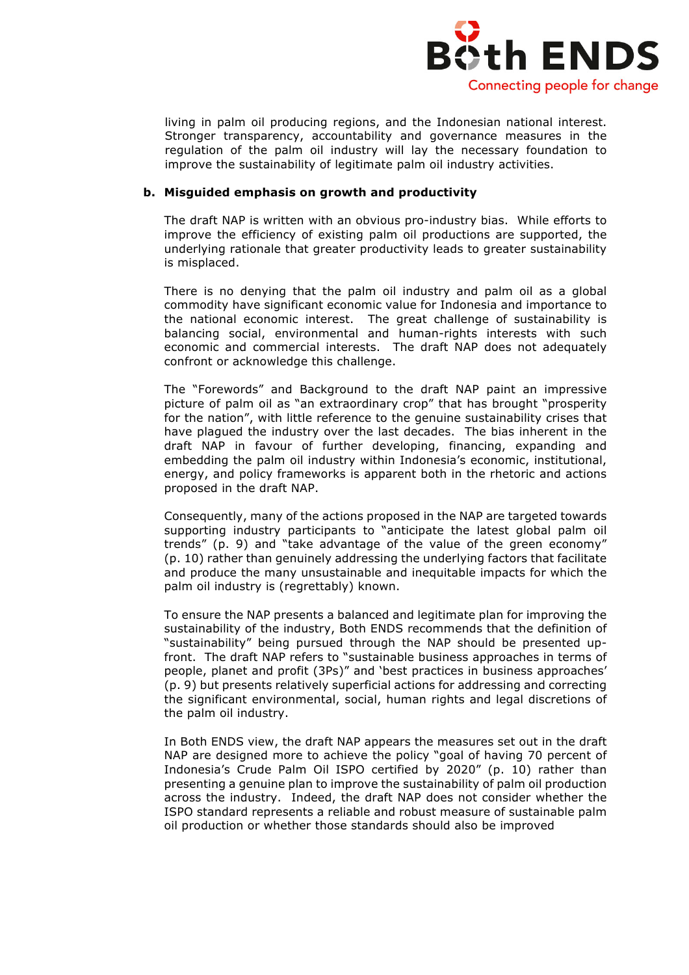

living in palm oil producing regions, and the Indonesian national interest. Stronger transparency, accountability and governance measures in the regulation of the palm oil industry will lay the necessary foundation to improve the sustainability of legitimate palm oil industry activities.

## **b. Misguided emphasis on growth and productivity**

The draft NAP is written with an obvious pro-industry bias. While efforts to improve the efficiency of existing palm oil productions are supported, the underlying rationale that greater productivity leads to greater sustainability is misplaced.

There is no denying that the palm oil industry and palm oil as a global commodity have significant economic value for Indonesia and importance to the national economic interest. The great challenge of sustainability is balancing social, environmental and human-rights interests with such economic and commercial interests. The draft NAP does not adequately confront or acknowledge this challenge.

The "Forewords" and Background to the draft NAP paint an impressive picture of palm oil as "an extraordinary crop" that has brought "prosperity for the nation", with little reference to the genuine sustainability crises that have plagued the industry over the last decades. The bias inherent in the draft NAP in favour of further developing, financing, expanding and embedding the palm oil industry within Indonesia's economic, institutional, energy, and policy frameworks is apparent both in the rhetoric and actions proposed in the draft NAP.

Consequently, many of the actions proposed in the NAP are targeted towards supporting industry participants to "anticipate the latest global palm oil trends" (p. 9) and "take advantage of the value of the green economy" (p. 10) rather than genuinely addressing the underlying factors that facilitate and produce the many unsustainable and inequitable impacts for which the palm oil industry is (regrettably) known.

To ensure the NAP presents a balanced and legitimate plan for improving the sustainability of the industry, Both ENDS recommends that the definition of "sustainability" being pursued through the NAP should be presented upfront. The draft NAP refers to "sustainable business approaches in terms of people, planet and profit (3Ps)" and 'best practices in business approaches' (p. 9) but presents relatively superficial actions for addressing and correcting the significant environmental, social, human rights and legal discretions of the palm oil industry.

In Both ENDS view, the draft NAP appears the measures set out in the draft NAP are designed more to achieve the policy "goal of having 70 percent of Indonesia's Crude Palm Oil ISPO certified by 2020" (p. 10) rather than presenting a genuine plan to improve the sustainability of palm oil production across the industry. Indeed, the draft NAP does not consider whether the ISPO standard represents a reliable and robust measure of sustainable palm oil production or whether those standards should also be improved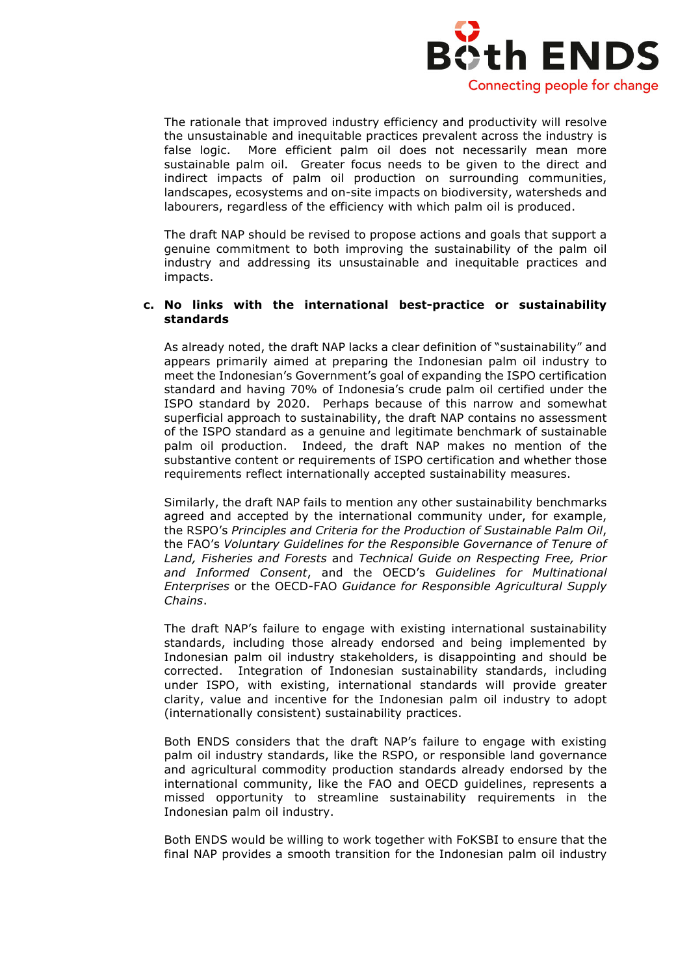

The rationale that improved industry efficiency and productivity will resolve the unsustainable and inequitable practices prevalent across the industry is false logic. More efficient palm oil does not necessarily mean more sustainable palm oil. Greater focus needs to be given to the direct and indirect impacts of palm oil production on surrounding communities, landscapes, ecosystems and on-site impacts on biodiversity, watersheds and labourers, regardless of the efficiency with which palm oil is produced.

The draft NAP should be revised to propose actions and goals that support a genuine commitment to both improving the sustainability of the palm oil industry and addressing its unsustainable and inequitable practices and impacts.

#### **c. No links with the international best-practice or sustainability standards**

As already noted, the draft NAP lacks a clear definition of "sustainability" and appears primarily aimed at preparing the Indonesian palm oil industry to meet the Indonesian's Government's goal of expanding the ISPO certification standard and having 70% of Indonesia's crude palm oil certified under the ISPO standard by 2020. Perhaps because of this narrow and somewhat superficial approach to sustainability, the draft NAP contains no assessment of the ISPO standard as a genuine and legitimate benchmark of sustainable palm oil production. Indeed, the draft NAP makes no mention of the substantive content or requirements of ISPO certification and whether those requirements reflect internationally accepted sustainability measures.

Similarly, the draft NAP fails to mention any other sustainability benchmarks agreed and accepted by the international community under, for example, the RSPO's *Principles and Criteria for the Production of Sustainable Palm Oil*, the FAO's *Voluntary Guidelines for the Responsible Governance of Tenure of Land, Fisheries and Forests* and *Technical Guide on Respecting Free, Prior and Informed Consent*, and the OECD's *Guidelines for Multinational Enterprises* or the OECD-FAO *Guidance for Responsible Agricultural Supply Chains*.

The draft NAP's failure to engage with existing international sustainability standards, including those already endorsed and being implemented by Indonesian palm oil industry stakeholders, is disappointing and should be corrected. Integration of Indonesian sustainability standards, including under ISPO, with existing, international standards will provide greater clarity, value and incentive for the Indonesian palm oil industry to adopt (internationally consistent) sustainability practices.

Both ENDS considers that the draft NAP's failure to engage with existing palm oil industry standards, like the RSPO, or responsible land governance and agricultural commodity production standards already endorsed by the international community, like the FAO and OECD guidelines, represents a missed opportunity to streamline sustainability requirements in the Indonesian palm oil industry.

Both ENDS would be willing to work together with FoKSBI to ensure that the final NAP provides a smooth transition for the Indonesian palm oil industry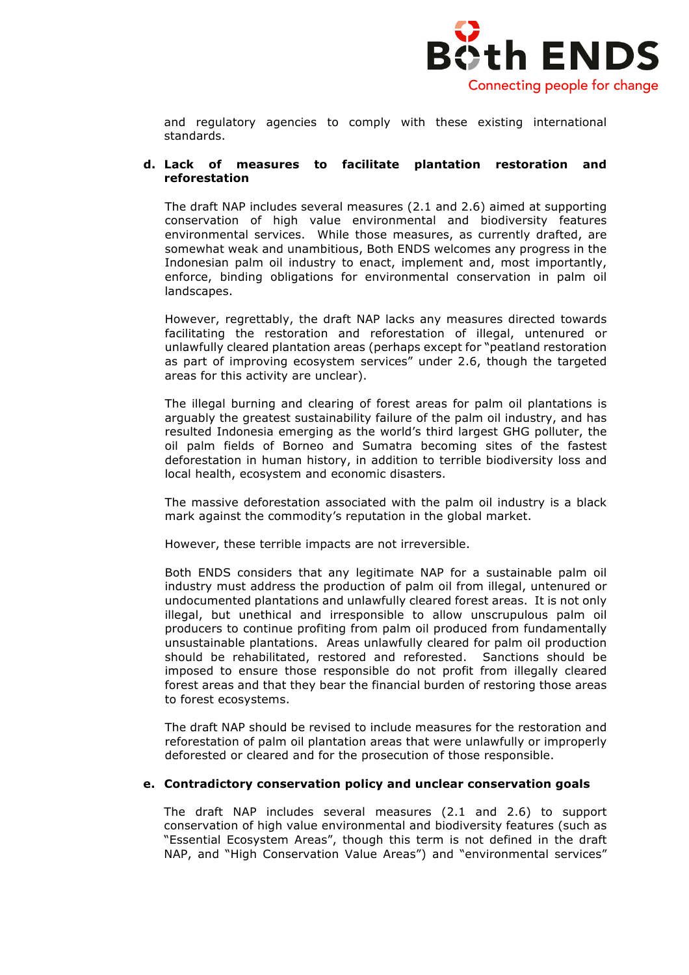

and regulatory agencies to comply with these existing international standards.

#### **d. Lack of measures to facilitate plantation restoration and reforestation**

The draft NAP includes several measures (2.1 and 2.6) aimed at supporting conservation of high value environmental and biodiversity features environmental services. While those measures, as currently drafted, are somewhat weak and unambitious, Both ENDS welcomes any progress in the Indonesian palm oil industry to enact, implement and, most importantly, enforce, binding obligations for environmental conservation in palm oil landscapes.

However, regrettably, the draft NAP lacks any measures directed towards facilitating the restoration and reforestation of illegal, untenured or unlawfully cleared plantation areas (perhaps except for "peatland restoration as part of improving ecosystem services" under 2.6, though the targeted areas for this activity are unclear).

The illegal burning and clearing of forest areas for palm oil plantations is arguably the greatest sustainability failure of the palm oil industry, and has resulted Indonesia emerging as the world's third largest GHG polluter, the oil palm fields of Borneo and Sumatra becoming sites of the fastest deforestation in human history, in addition to terrible biodiversity loss and local health, ecosystem and economic disasters.

The massive deforestation associated with the palm oil industry is a black mark against the commodity's reputation in the global market.

However, these terrible impacts are not irreversible.

Both ENDS considers that any legitimate NAP for a sustainable palm oil industry must address the production of palm oil from illegal, untenured or undocumented plantations and unlawfully cleared forest areas. It is not only illegal, but unethical and irresponsible to allow unscrupulous palm oil producers to continue profiting from palm oil produced from fundamentally unsustainable plantations. Areas unlawfully cleared for palm oil production should be rehabilitated, restored and reforested. Sanctions should be imposed to ensure those responsible do not profit from illegally cleared forest areas and that they bear the financial burden of restoring those areas to forest ecosystems.

The draft NAP should be revised to include measures for the restoration and reforestation of palm oil plantation areas that were unlawfully or improperly deforested or cleared and for the prosecution of those responsible.

## **e. Contradictory conservation policy and unclear conservation goals**

The draft NAP includes several measures (2.1 and 2.6) to support conservation of high value environmental and biodiversity features (such as "Essential Ecosystem Areas", though this term is not defined in the draft NAP, and "High Conservation Value Areas") and "environmental services"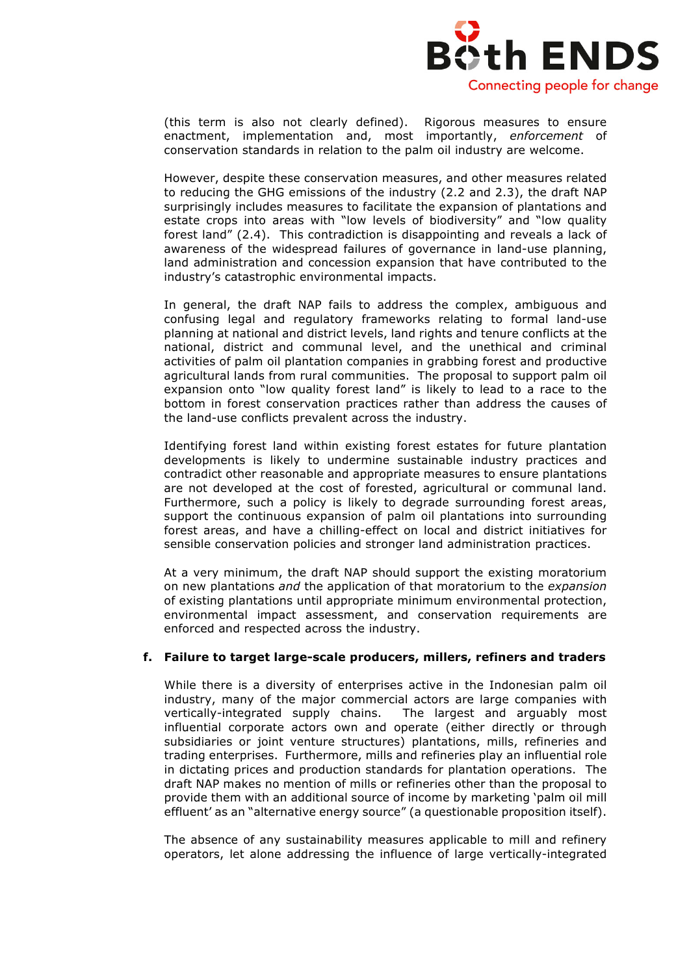

(this term is also not clearly defined). Rigorous measures to ensure enactment, implementation and, most importantly, *enforcement* of conservation standards in relation to the palm oil industry are welcome.

However, despite these conservation measures, and other measures related to reducing the GHG emissions of the industry (2.2 and 2.3), the draft NAP surprisingly includes measures to facilitate the expansion of plantations and estate crops into areas with "low levels of biodiversity" and "low quality forest land" (2.4). This contradiction is disappointing and reveals a lack of awareness of the widespread failures of governance in land-use planning, land administration and concession expansion that have contributed to the industry's catastrophic environmental impacts.

In general, the draft NAP fails to address the complex, ambiguous and confusing legal and regulatory frameworks relating to formal land-use planning at national and district levels, land rights and tenure conflicts at the national, district and communal level, and the unethical and criminal activities of palm oil plantation companies in grabbing forest and productive agricultural lands from rural communities. The proposal to support palm oil expansion onto "low quality forest land" is likely to lead to a race to the bottom in forest conservation practices rather than address the causes of the land-use conflicts prevalent across the industry.

Identifying forest land within existing forest estates for future plantation developments is likely to undermine sustainable industry practices and contradict other reasonable and appropriate measures to ensure plantations are not developed at the cost of forested, agricultural or communal land. Furthermore, such a policy is likely to degrade surrounding forest areas, support the continuous expansion of palm oil plantations into surrounding forest areas, and have a chilling-effect on local and district initiatives for sensible conservation policies and stronger land administration practices.

At a very minimum, the draft NAP should support the existing moratorium on new plantations *and* the application of that moratorium to the *expansion*  of existing plantations until appropriate minimum environmental protection, environmental impact assessment, and conservation requirements are enforced and respected across the industry.

## **f. Failure to target large-scale producers, millers, refiners and traders**

While there is a diversity of enterprises active in the Indonesian palm oil industry, many of the major commercial actors are large companies with vertically-integrated supply chains. The largest and arguably most influential corporate actors own and operate (either directly or through subsidiaries or joint venture structures) plantations, mills, refineries and trading enterprises. Furthermore, mills and refineries play an influential role in dictating prices and production standards for plantation operations. The draft NAP makes no mention of mills or refineries other than the proposal to provide them with an additional source of income by marketing 'palm oil mill effluent' as an "alternative energy source" (a questionable proposition itself).

The absence of any sustainability measures applicable to mill and refinery operators, let alone addressing the influence of large vertically-integrated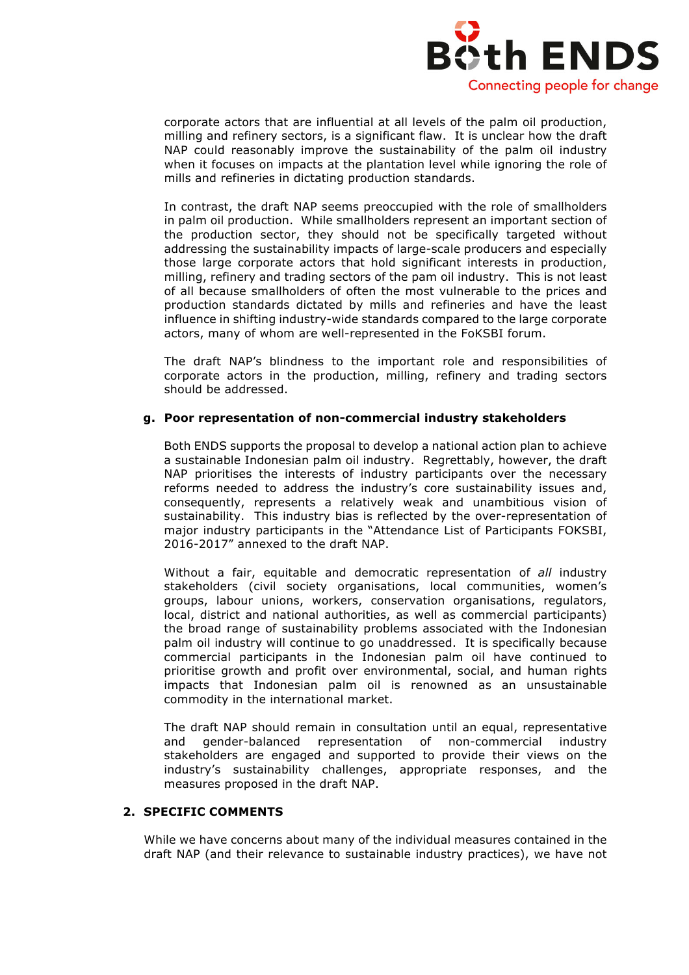

corporate actors that are influential at all levels of the palm oil production, milling and refinery sectors, is a significant flaw. It is unclear how the draft NAP could reasonably improve the sustainability of the palm oil industry when it focuses on impacts at the plantation level while ignoring the role of mills and refineries in dictating production standards.

In contrast, the draft NAP seems preoccupied with the role of smallholders in palm oil production. While smallholders represent an important section of the production sector, they should not be specifically targeted without addressing the sustainability impacts of large-scale producers and especially those large corporate actors that hold significant interests in production, milling, refinery and trading sectors of the pam oil industry. This is not least of all because smallholders of often the most vulnerable to the prices and production standards dictated by mills and refineries and have the least influence in shifting industry-wide standards compared to the large corporate actors, many of whom are well-represented in the FoKSBI forum.

The draft NAP's blindness to the important role and responsibilities of corporate actors in the production, milling, refinery and trading sectors should be addressed.

#### **g. Poor representation of non-commercial industry stakeholders**

Both ENDS supports the proposal to develop a national action plan to achieve a sustainable Indonesian palm oil industry. Regrettably, however, the draft NAP prioritises the interests of industry participants over the necessary reforms needed to address the industry's core sustainability issues and, consequently, represents a relatively weak and unambitious vision of sustainability. This industry bias is reflected by the over-representation of major industry participants in the "Attendance List of Participants FOKSBI, 2016-2017" annexed to the draft NAP.

Without a fair, equitable and democratic representation of *all* industry stakeholders (civil society organisations, local communities, women's groups, labour unions, workers, conservation organisations, regulators, local, district and national authorities, as well as commercial participants) the broad range of sustainability problems associated with the Indonesian palm oil industry will continue to go unaddressed. It is specifically because commercial participants in the Indonesian palm oil have continued to prioritise growth and profit over environmental, social, and human rights impacts that Indonesian palm oil is renowned as an unsustainable commodity in the international market.

The draft NAP should remain in consultation until an equal, representative and gender-balanced representation of non-commercial industry stakeholders are engaged and supported to provide their views on the industry's sustainability challenges, appropriate responses, and the measures proposed in the draft NAP.

# **2. SPECIFIC COMMENTS**

While we have concerns about many of the individual measures contained in the draft NAP (and their relevance to sustainable industry practices), we have not